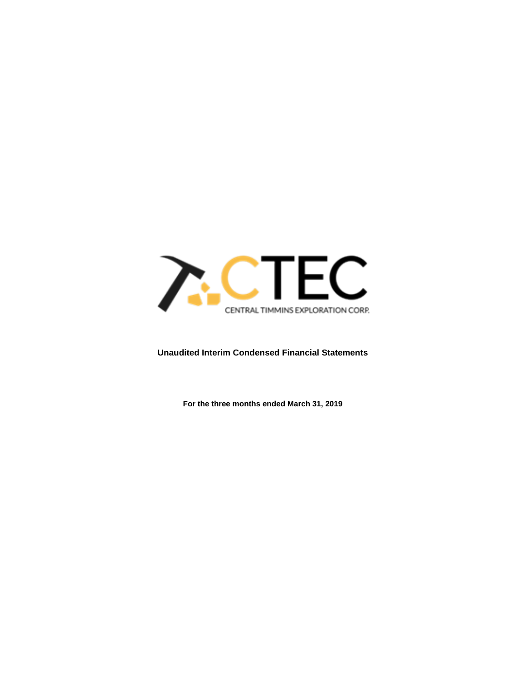

# **Unaudited Interim Condensed Financial Statements**

**For the three months ended March 31, 2019**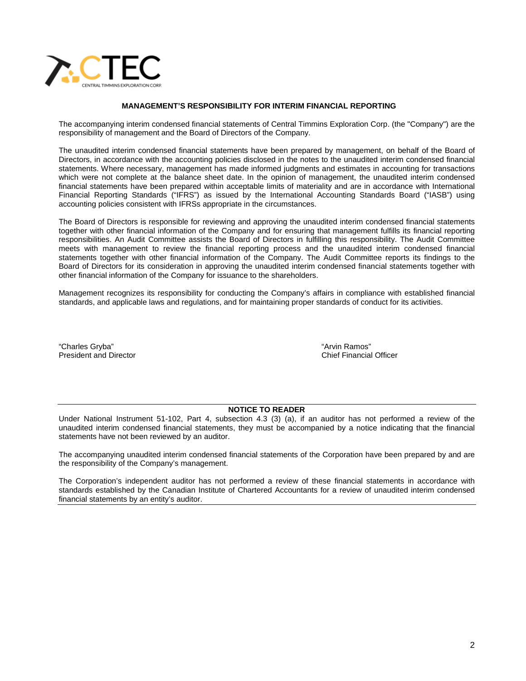

## **MANAGEMENT'S RESPONSIBILITY FOR INTERIM FINANCIAL REPORTING**

The accompanying interim condensed financial statements of Central Timmins Exploration Corp. (the "Company") are the responsibility of management and the Board of Directors of the Company.

The unaudited interim condensed financial statements have been prepared by management, on behalf of the Board of Directors, in accordance with the accounting policies disclosed in the notes to the unaudited interim condensed financial statements. Where necessary, management has made informed judgments and estimates in accounting for transactions which were not complete at the balance sheet date. In the opinion of management, the unaudited interim condensed financial statements have been prepared within acceptable limits of materiality and are in accordance with International Financial Reporting Standards ("IFRS") as issued by the International Accounting Standards Board ("IASB") using accounting policies consistent with IFRSs appropriate in the circumstances.

The Board of Directors is responsible for reviewing and approving the unaudited interim condensed financial statements together with other financial information of the Company and for ensuring that management fulfills its financial reporting responsibilities. An Audit Committee assists the Board of Directors in fulfilling this responsibility. The Audit Committee meets with management to review the financial reporting process and the unaudited interim condensed financial statements together with other financial information of the Company. The Audit Committee reports its findings to the Board of Directors for its consideration in approving the unaudited interim condensed financial statements together with other financial information of the Company for issuance to the shareholders.

Management recognizes its responsibility for conducting the Company's affairs in compliance with established financial standards, and applicable laws and regulations, and for maintaining proper standards of conduct for its activities.

"Charles Gryba" "Arvin Ramos" President and Director

### **NOTICE TO READER**

Under National Instrument 51-102, Part 4, subsection 4.3 (3) (a), if an auditor has not performed a review of the unaudited interim condensed financial statements, they must be accompanied by a notice indicating that the financial statements have not been reviewed by an auditor.

The accompanying unaudited interim condensed financial statements of the Corporation have been prepared by and are the responsibility of the Company's management.

The Corporation's independent auditor has not performed a review of these financial statements in accordance with standards established by the Canadian Institute of Chartered Accountants for a review of unaudited interim condensed financial statements by an entity's auditor.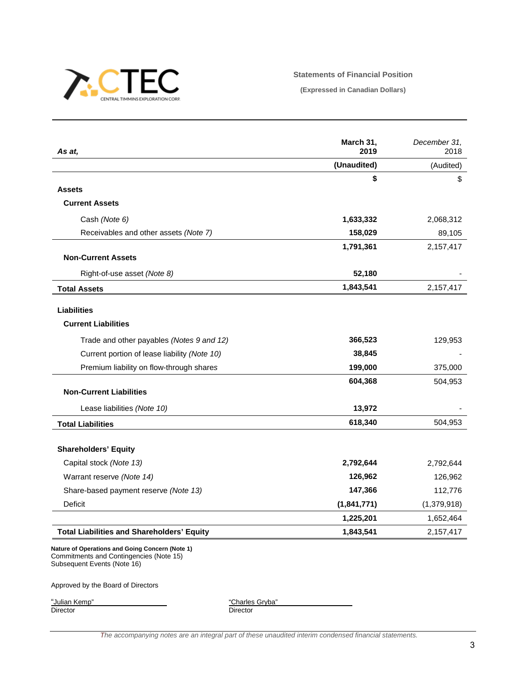

## **Statements of Financial Position**

**(Expressed in Canadian Dollars)**

| As at,                                            | March 31,<br>2019 | December 31,<br>2018 |
|---------------------------------------------------|-------------------|----------------------|
|                                                   | (Unaudited)       | (Audited)            |
|                                                   | \$                | \$                   |
| <b>Assets</b>                                     |                   |                      |
| <b>Current Assets</b>                             |                   |                      |
| Cash (Note 6)                                     | 1,633,332         | 2,068,312            |
| Receivables and other assets (Note 7)             | 158,029           | 89,105               |
|                                                   | 1,791,361         | 2,157,417            |
| <b>Non-Current Assets</b>                         |                   |                      |
| Right-of-use asset (Note 8)                       | 52,180            |                      |
| <b>Total Assets</b>                               | 1,843,541         | 2,157,417            |
| <b>Liabilities</b>                                |                   |                      |
| <b>Current Liabilities</b>                        |                   |                      |
| Trade and other payables (Notes 9 and 12)         | 366,523           | 129,953              |
| Current portion of lease liability (Note 10)      | 38,845            |                      |
| Premium liability on flow-through shares          | 199,000           | 375,000              |
|                                                   | 604,368           | 504,953              |
| <b>Non-Current Liabilities</b>                    |                   |                      |
| Lease liabilities (Note 10)                       | 13,972            |                      |
| <b>Total Liabilities</b>                          | 618,340           | 504,953              |
|                                                   |                   |                      |
| <b>Shareholders' Equity</b>                       |                   |                      |
| Capital stock (Note 13)                           | 2,792,644         | 2,792,644            |
| Warrant reserve (Note 14)                         | 126,962           | 126,962              |
| Share-based payment reserve (Note 13)             | 147,366           | 112,776              |
| Deficit                                           | (1,841,771)       | (1,379,918)          |
|                                                   | 1,225,201         | 1,652,464            |
| <b>Total Liabilities and Shareholders' Equity</b> | 1,843,541         | 2,157,417            |

Commitments and Contingencies (Note 15) Subsequent Events (Note 16)

Approved by the Board of Directors

"Julian Kemp"<br>Director

"Charles Gryba"<br>Director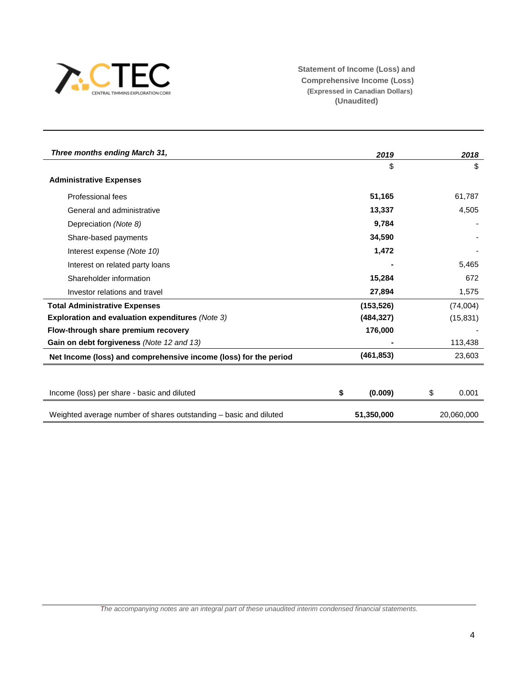

**Statement of Income (Loss) and Comprehensive Income (Loss) (Expressed in Canadian Dollars) (Unaudited)**

| Three months ending March 31,                                     | 2019          | 2018        |
|-------------------------------------------------------------------|---------------|-------------|
|                                                                   | \$            | \$          |
| <b>Administrative Expenses</b>                                    |               |             |
| Professional fees                                                 | 51,165        | 61,787      |
| General and administrative                                        | 13,337        | 4,505       |
| Depreciation (Note 8)                                             | 9,784         |             |
| Share-based payments                                              | 34,590        |             |
| Interest expense (Note 10)                                        | 1,472         |             |
| Interest on related party loans                                   |               | 5,465       |
| Shareholder information                                           | 15,284        | 672         |
| Investor relations and travel                                     | 27,894        | 1,575       |
| <b>Total Administrative Expenses</b>                              | (153, 526)    | (74,004)    |
| Exploration and evaluation expenditures (Note 3)                  | (484, 327)    | (15, 831)   |
| Flow-through share premium recovery                               | 176,000       |             |
| Gain on debt forgiveness (Note 12 and 13)                         |               | 113,438     |
| Net Income (loss) and comprehensive income (loss) for the period  | (461, 853)    | 23,603      |
|                                                                   |               |             |
| Income (loss) per share - basic and diluted                       | \$<br>(0.009) | \$<br>0.001 |
| Weighted average number of shares outstanding - basic and diluted | 51,350,000    | 20.060.000  |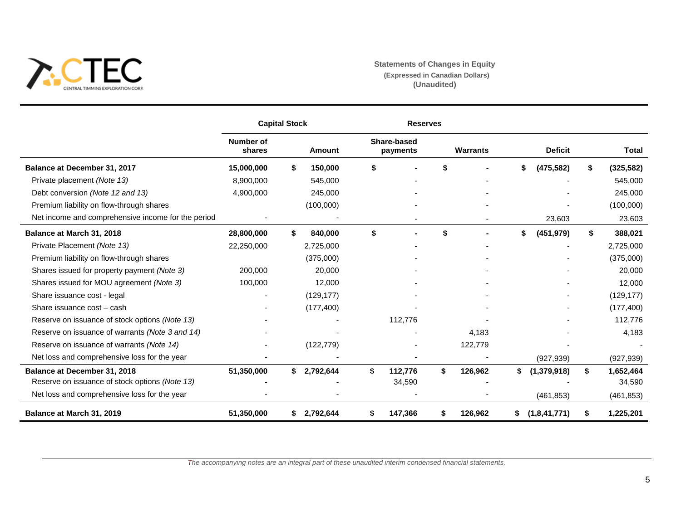

# **Statements of Changes in Equity (Expressed in Canadian Dollars) (Unaudited)**

|                                                    |                            | <b>Capital Stock</b> |            | <b>Reserves</b>                |    |                 |                    |                  |
|----------------------------------------------------|----------------------------|----------------------|------------|--------------------------------|----|-----------------|--------------------|------------------|
|                                                    | <b>Number of</b><br>shares |                      | Amount     | <b>Share-based</b><br>payments |    | <b>Warrants</b> | <b>Deficit</b>     | Total            |
| Balance at December 31, 2017                       | 15,000,000                 | \$                   | 150,000    | \$                             |    |                 | \$<br>(475, 582)   | \$<br>(325, 582) |
| Private placement (Note 13)                        | 8,900,000                  |                      | 545,000    |                                |    |                 |                    | 545,000          |
| Debt conversion (Note 12 and 13)                   | 4,900,000                  |                      | 245,000    |                                |    |                 |                    | 245,000          |
| Premium liability on flow-through shares           |                            |                      | (100,000)  |                                |    |                 |                    | (100,000)        |
| Net income and comprehensive income for the period |                            |                      |            |                                |    |                 | 23,603             | 23,603           |
| Balance at March 31, 2018                          | 28,800,000                 | Ŝ.                   | 840,000    | \$                             | \$ |                 | \$<br>(451, 979)   | \$<br>388,021    |
| Private Placement (Note 13)                        | 22,250,000                 |                      | 2,725,000  |                                |    |                 |                    | 2,725,000        |
| Premium liability on flow-through shares           |                            |                      | (375,000)  |                                |    |                 |                    | (375,000)        |
| Shares issued for property payment (Note 3)        | 200,000                    |                      | 20,000     |                                |    |                 |                    | 20,000           |
| Shares issued for MOU agreement (Note 3)           | 100,000                    |                      | 12,000     |                                |    |                 |                    | 12,000           |
| Share issuance cost - legal                        |                            |                      | (129, 177) |                                |    |                 |                    | (129, 177)       |
| Share issuance cost - cash                         |                            |                      | (177, 400) |                                |    |                 |                    | (177, 400)       |
| Reserve on issuance of stock options (Note 13)     |                            |                      |            | 112,776                        |    |                 |                    | 112,776          |
| Reserve on issuance of warrants (Note 3 and 14)    |                            |                      |            |                                |    | 4,183           |                    | 4,183            |
| Reserve on issuance of warrants (Note 14)          |                            |                      | (122, 779) |                                |    | 122,779         |                    |                  |
| Net loss and comprehensive loss for the year       |                            |                      |            |                                |    |                 | (927, 939)         | (927, 939)       |
| Balance at December 31, 2018                       | 51,350,000                 | \$                   | 2,792,644  | \$<br>112,776                  | \$ | 126,962         | \$<br>(1,379,918)  | \$<br>1,652,464  |
| Reserve on issuance of stock options (Note 13)     |                            |                      |            | 34,590                         |    |                 |                    | 34,590           |
| Net loss and comprehensive loss for the year       |                            |                      |            |                                |    |                 | (461, 853)         | (461, 853)       |
| Balance at March 31, 2019                          | 51,350,000                 | S.                   | 2,792,644  | 147,366                        | \$ | 126,962         | \$<br>(1,8,41,771) | \$<br>1,225,201  |

*The accompanying notes are an integral part of these unaudited interim condensed financial statements.*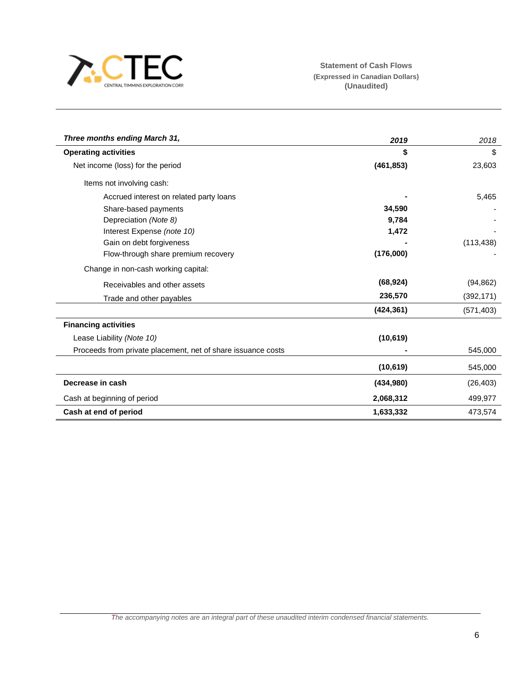

| Three months ending March 31,                                | 2019       | 2018       |
|--------------------------------------------------------------|------------|------------|
| <b>Operating activities</b>                                  | \$         | \$         |
| Net income (loss) for the period                             | (461, 853) | 23,603     |
| Items not involving cash:                                    |            |            |
| Accrued interest on related party loans                      |            | 5,465      |
| Share-based payments                                         | 34,590     |            |
| Depreciation (Note 8)                                        | 9,784      |            |
| Interest Expense (note 10)                                   | 1,472      |            |
| Gain on debt forgiveness                                     |            | (113, 438) |
| Flow-through share premium recovery                          | (176,000)  |            |
| Change in non-cash working capital:                          |            |            |
| Receivables and other assets                                 | (68, 924)  | (94, 862)  |
| Trade and other payables                                     | 236,570    | (392, 171) |
|                                                              | (424, 361) | (571, 403) |
| <b>Financing activities</b>                                  |            |            |
| Lease Liability (Note 10)                                    | (10, 619)  |            |
| Proceeds from private placement, net of share issuance costs |            | 545,000    |
|                                                              | (10, 619)  | 545,000    |
| Decrease in cash                                             | (434,980)  | (26, 403)  |
| Cash at beginning of period                                  | 2,068,312  | 499,977    |
| Cash at end of period                                        | 1,633,332  | 473,574    |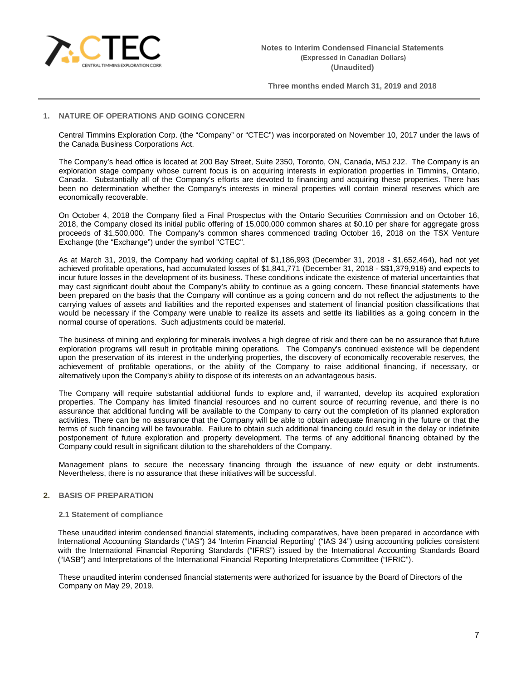

# **1. NATURE OF OPERATIONS AND GOING CONCERN**

Central Timmins Exploration Corp. (the "Company" or "CTEC") was incorporated on November 10, 2017 under the laws of the Canada Business Corporations Act.

The Company's head office is located at 200 Bay Street, Suite 2350, Toronto, ON, Canada, M5J 2J2. The Company is an exploration stage company whose current focus is on acquiring interests in exploration properties in Timmins, Ontario, Canada. Substantially all of the Company's efforts are devoted to financing and acquiring these properties. There has been no determination whether the Company's interests in mineral properties will contain mineral reserves which are economically recoverable.

On October 4, 2018 the Company filed a Final Prospectus with the Ontario Securities Commission and on October 16, 2018, the Company closed its initial public offering of 15,000,000 common shares at \$0.10 per share for aggregate gross proceeds of \$1,500,000. The Company's common shares commenced trading October 16, 2018 on the TSX Venture Exchange (the "Exchange") under the symbol "CTEC".

As at March 31, 2019, the Company had working capital of \$1,186,993 (December 31, 2018 - \$1,652,464), had not yet achieved profitable operations, had accumulated losses of \$1,841,771 (December 31, 2018 - \$\$1,379,918) and expects to incur future losses in the development of its business. These conditions indicate the existence of material uncertainties that may cast significant doubt about the Company's ability to continue as a going concern. These financial statements have been prepared on the basis that the Company will continue as a going concern and do not reflect the adjustments to the carrying values of assets and liabilities and the reported expenses and statement of financial position classifications that would be necessary if the Company were unable to realize its assets and settle its liabilities as a going concern in the normal course of operations. Such adjustments could be material.

The business of mining and exploring for minerals involves a high degree of risk and there can be no assurance that future exploration programs will result in profitable mining operations. The Company's continued existence will be dependent upon the preservation of its interest in the underlying properties, the discovery of economically recoverable reserves, the achievement of profitable operations, or the ability of the Company to raise additional financing, if necessary, or alternatively upon the Company's ability to dispose of its interests on an advantageous basis.

The Company will require substantial additional funds to explore and, if warranted, develop its acquired exploration properties. The Company has limited financial resources and no current source of recurring revenue, and there is no assurance that additional funding will be available to the Company to carry out the completion of its planned exploration activities. There can be no assurance that the Company will be able to obtain adequate financing in the future or that the terms of such financing will be favourable. Failure to obtain such additional financing could result in the delay or indefinite postponement of future exploration and property development. The terms of any additional financing obtained by the Company could result in significant dilution to the shareholders of the Company.

Management plans to secure the necessary financing through the issuance of new equity or debt instruments. Nevertheless, there is no assurance that these initiatives will be successful.

## **2. BASIS OF PREPARATION**

#### **2.1 Statement of compliance**

These unaudited interim condensed financial statements, including comparatives, have been prepared in accordance with International Accounting Standards ("IAS") 34 'Interim Financial Reporting' ("IAS 34") using accounting policies consistent with the International Financial Reporting Standards ("IFRS") issued by the International Accounting Standards Board ("IASB") and Interpretations of the International Financial Reporting Interpretations Committee ("IFRIC").

These unaudited interim condensed financial statements were authorized for issuance by the Board of Directors of the Company on May 29, 2019.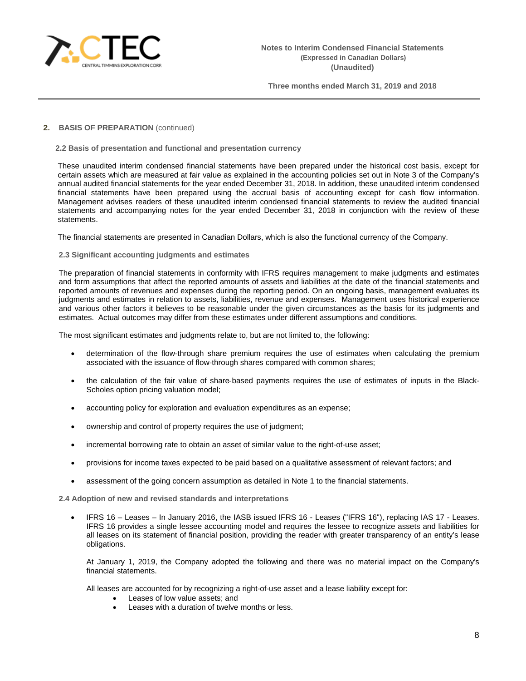

## **2. BASIS OF PREPARATION** (continued)

**2.2 Basis of presentation and functional and presentation currency**

These unaudited interim condensed financial statements have been prepared under the historical cost basis, except for certain assets which are measured at fair value as explained in the accounting policies set out in Note 3 of the Company's annual audited financial statements for the year ended December 31, 2018. In addition, these unaudited interim condensed financial statements have been prepared using the accrual basis of accounting except for cash flow information. Management advises readers of these unaudited interim condensed financial statements to review the audited financial statements and accompanying notes for the year ended December 31, 2018 in conjunction with the review of these statements.

The financial statements are presented in Canadian Dollars, which is also the functional currency of the Company.

## **2.3 Significant accounting judgments and estimates**

The preparation of financial statements in conformity with IFRS requires management to make judgments and estimates and form assumptions that affect the reported amounts of assets and liabilities at the date of the financial statements and reported amounts of revenues and expenses during the reporting period. On an ongoing basis, management evaluates its judgments and estimates in relation to assets, liabilities, revenue and expenses. Management uses historical experience and various other factors it believes to be reasonable under the given circumstances as the basis for its judgments and estimates. Actual outcomes may differ from these estimates under different assumptions and conditions.

The most significant estimates and judgments relate to, but are not limited to, the following:

- determination of the flow-through share premium requires the use of estimates when calculating the premium associated with the issuance of flow-through shares compared with common shares;
- the calculation of the fair value of share-based payments requires the use of estimates of inputs in the Black-Scholes option pricing valuation model;
- accounting policy for exploration and evaluation expenditures as an expense;
- ownership and control of property requires the use of judgment;
- incremental borrowing rate to obtain an asset of similar value to the right-of-use asset;
- provisions for income taxes expected to be paid based on a qualitative assessment of relevant factors; and
- assessment of the going concern assumption as detailed in Note 1 to the financial statements.

**2.4 Adoption of new and revised standards and interpretations**

• IFRS 16 – Leases – In January 2016, the IASB issued IFRS 16 - Leases ("IFRS 16"), replacing IAS 17 - Leases. IFRS 16 provides a single lessee accounting model and requires the lessee to recognize assets and liabilities for all leases on its statement of financial position, providing the reader with greater transparency of an entity's lease obligations.

At January 1, 2019, the Company adopted the following and there was no material impact on the Company's financial statements.

All leases are accounted for by recognizing a right-of-use asset and a lease liability except for:

- Leases of low value assets; and
- Leases with a duration of twelve months or less.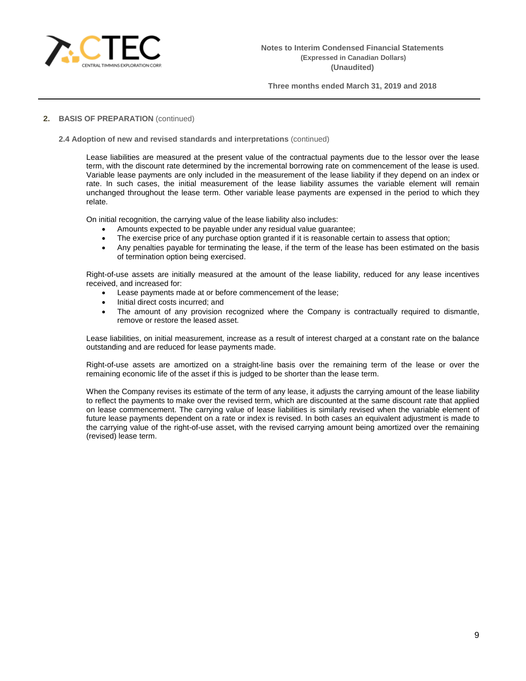

## **2. BASIS OF PREPARATION** (continued)

#### **2.4 Adoption of new and revised standards and interpretations** (continued)

Lease liabilities are measured at the present value of the contractual payments due to the lessor over the lease term, with the discount rate determined by the incremental borrowing rate on commencement of the lease is used. Variable lease payments are only included in the measurement of the lease liability if they depend on an index or rate. In such cases, the initial measurement of the lease liability assumes the variable element will remain unchanged throughout the lease term. Other variable lease payments are expensed in the period to which they relate.

On initial recognition, the carrying value of the lease liability also includes:

- Amounts expected to be payable under any residual value guarantee;
- The exercise price of any purchase option granted if it is reasonable certain to assess that option;
- Any penalties payable for terminating the lease, if the term of the lease has been estimated on the basis of termination option being exercised.

Right-of-use assets are initially measured at the amount of the lease liability, reduced for any lease incentives received, and increased for:

- Lease payments made at or before commencement of the lease;
- Initial direct costs incurred; and
- The amount of any provision recognized where the Company is contractually required to dismantle, remove or restore the leased asset.

Lease liabilities, on initial measurement, increase as a result of interest charged at a constant rate on the balance outstanding and are reduced for lease payments made.

Right-of-use assets are amortized on a straight-line basis over the remaining term of the lease or over the remaining economic life of the asset if this is judged to be shorter than the lease term.

When the Company revises its estimate of the term of any lease, it adjusts the carrying amount of the lease liability to reflect the payments to make over the revised term, which are discounted at the same discount rate that applied on lease commencement. The carrying value of lease liabilities is similarly revised when the variable element of future lease payments dependent on a rate or index is revised. In both cases an equivalent adjustment is made to the carrying value of the right-of-use asset, with the revised carrying amount being amortized over the remaining (revised) lease term.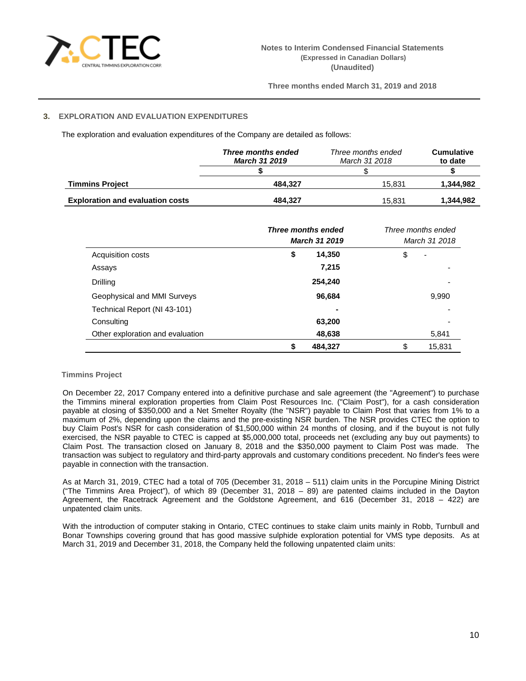

# **3. EXPLORATION AND EVALUATION EXPENDITURES**

The exploration and evaluation expenditures of the Company are detailed as follows:

|                                         | Three months ended<br><b>March 31 2019</b> | Three months ended<br>March 31 2018 | <b>Cumulative</b><br>to date |
|-----------------------------------------|--------------------------------------------|-------------------------------------|------------------------------|
|                                         |                                            |                                     |                              |
| <b>Timmins Project</b>                  | 484.327                                    | 15.831                              | 1.344.982                    |
| <b>Exploration and evaluation costs</b> | 484.327                                    | 15.831                              | 1,344,982                    |

| <b>Three months ended</b><br><b>March 31 2019</b> |               | Three months ended<br>March 31 2018 |
|---------------------------------------------------|---------------|-------------------------------------|
| Acquisition costs                                 | 14,350<br>\$  | \$<br>$\overline{\phantom{0}}$      |
| Assays                                            | 7,215         |                                     |
| Drilling                                          | 254,240       |                                     |
| Geophysical and MMI Surveys                       | 96,684        | 9,990                               |
| Technical Report (NI 43-101)                      |               |                                     |
| Consulting                                        | 63,200        |                                     |
| Other exploration and evaluation                  | 48,638        | 5,841                               |
|                                                   | 484,327<br>\$ | \$<br>15,831                        |

# **Timmins Project**

On December 22, 2017 Company entered into a definitive purchase and sale agreement (the "Agreement") to purchase the Timmins mineral exploration properties from Claim Post Resources Inc. ("Claim Post"), for a cash consideration payable at closing of \$350,000 and a Net Smelter Royalty (the "NSR") payable to Claim Post that varies from 1% to a maximum of 2%, depending upon the claims and the pre-existing NSR burden. The NSR provides CTEC the option to buy Claim Post's NSR for cash consideration of \$1,500,000 within 24 months of closing, and if the buyout is not fully exercised, the NSR payable to CTEC is capped at \$5,000,000 total, proceeds net (excluding any buy out payments) to Claim Post. The transaction closed on January 8, 2018 and the \$350,000 payment to Claim Post was made. The transaction was subject to regulatory and third-party approvals and customary conditions precedent. No finder's fees were payable in connection with the transaction.

As at March 31, 2019, CTEC had a total of 705 (December 31, 2018 – 511) claim units in the Porcupine Mining District ("The Timmins Area Project"), of which 89 (December 31, 2018 – 89) are patented claims included in the Dayton Agreement, the Racetrack Agreement and the Goldstone Agreement, and 616 (December 31, 2018 – 422) are unpatented claim units.

With the introduction of computer staking in Ontario, CTEC continues to stake claim units mainly in Robb, Turnbull and Bonar Townships covering ground that has good massive sulphide exploration potential for VMS type deposits. As at March 31, 2019 and December 31, 2018, the Company held the following unpatented claim units: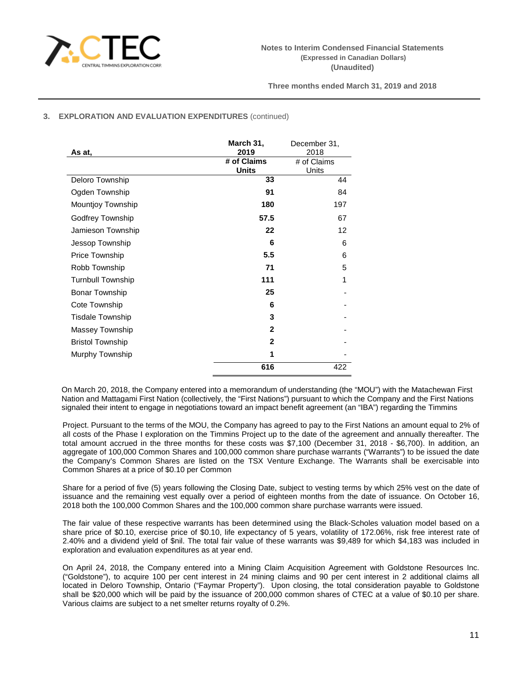

# **3. EXPLORATION AND EVALUATION EXPENDITURES** (continued)

| As at,                   | March 31,<br>2019           | December 31,<br>2018 |
|--------------------------|-----------------------------|----------------------|
|                          | # of Claims<br><b>Units</b> | # of Claims<br>Units |
| Deloro Township          | 33                          | 44                   |
| Ogden Township           | 91                          | 84                   |
| Mountjoy Township        | 180                         | 197                  |
| Godfrey Township         | 57.5                        | 67                   |
| Jamieson Township        | 22                          | 12                   |
| Jessop Township          | 6                           | 6                    |
| Price Township           | 5.5                         | 6                    |
| Robb Township            | 71                          | 5                    |
| <b>Turnbull Township</b> | 111                         | 1                    |
| <b>Bonar Township</b>    | 25                          |                      |
| Cote Township            | 6                           |                      |
| <b>Tisdale Township</b>  | 3                           |                      |
| Massey Township          | $\mathbf{2}$                |                      |
| <b>Bristol Township</b>  | $\mathbf{2}$                |                      |
| Murphy Township          | 1                           |                      |
|                          | 616                         | 422                  |

On March 20, 2018, the Company entered into a memorandum of understanding (the "MOU") with the Matachewan First Nation and Mattagami First Nation (collectively, the "First Nations") pursuant to which the Company and the First Nations signaled their intent to engage in negotiations toward an impact benefit agreement (an "IBA") regarding the Timmins

Project. Pursuant to the terms of the MOU, the Company has agreed to pay to the First Nations an amount equal to 2% of all costs of the Phase I exploration on the Timmins Project up to the date of the agreement and annually thereafter. The total amount accrued in the three months for these costs was \$7,100 (December 31, 2018 - \$6,700). In addition, an aggregate of 100,000 Common Shares and 100,000 common share purchase warrants ("Warrants") to be issued the date the Company's Common Shares are listed on the TSX Venture Exchange. The Warrants shall be exercisable into Common Shares at a price of \$0.10 per Common

Share for a period of five (5) years following the Closing Date, subject to vesting terms by which 25% vest on the date of issuance and the remaining vest equally over a period of eighteen months from the date of issuance. On October 16, 2018 both the 100,000 Common Shares and the 100,000 common share purchase warrants were issued.

The fair value of these respective warrants has been determined using the Black-Scholes valuation model based on a share price of \$0.10, exercise price of \$0.10, life expectancy of 5 years, volatility of 172.06%, risk free interest rate of 2.40% and a dividend yield of \$nil. The total fair value of these warrants was \$9,489 for which \$4,183 was included in exploration and evaluation expenditures as at year end.

On April 24, 2018, the Company entered into a Mining Claim Acquisition Agreement with Goldstone Resources Inc. ("Goldstone"), to acquire 100 per cent interest in 24 mining claims and 90 per cent interest in 2 additional claims all located in Deloro Township, Ontario ("Faymar Property"). Upon closing, the total consideration payable to Goldstone shall be \$20,000 which will be paid by the issuance of 200,000 common shares of CTEC at a value of \$0.10 per share. Various claims are subject to a net smelter returns royalty of 0.2%.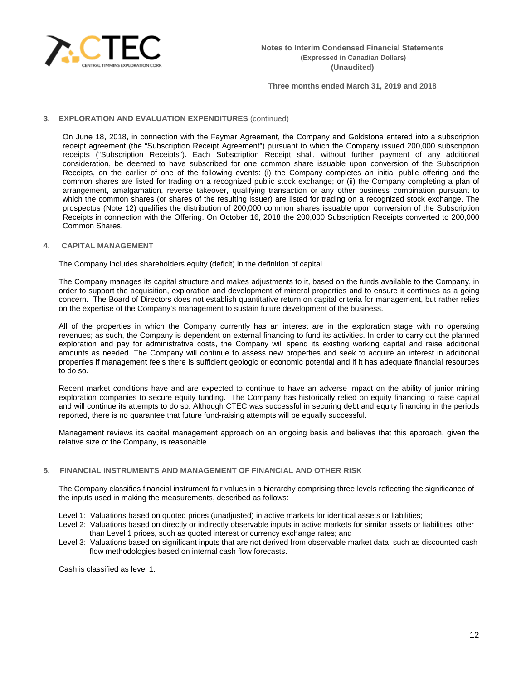

## **3. EXPLORATION AND EVALUATION EXPENDITURES** (continued)

On June 18, 2018, in connection with the Faymar Agreement, the Company and Goldstone entered into a subscription receipt agreement (the "Subscription Receipt Agreement") pursuant to which the Company issued 200,000 subscription receipts ("Subscription Receipts"). Each Subscription Receipt shall, without further payment of any additional consideration, be deemed to have subscribed for one common share issuable upon conversion of the Subscription Receipts, on the earlier of one of the following events: (i) the Company completes an initial public offering and the common shares are listed for trading on a recognized public stock exchange; or (ii) the Company completing a plan of arrangement, amalgamation, reverse takeover, qualifying transaction or any other business combination pursuant to which the common shares (or shares of the resulting issuer) are listed for trading on a recognized stock exchange. The prospectus (Note 12) qualifies the distribution of 200,000 common shares issuable upon conversion of the Subscription Receipts in connection with the Offering. On October 16, 2018 the 200,000 Subscription Receipts converted to 200,000 Common Shares.

### **4. CAPITAL MANAGEMENT**

The Company includes shareholders equity (deficit) in the definition of capital.

The Company manages its capital structure and makes adjustments to it, based on the funds available to the Company, in order to support the acquisition, exploration and development of mineral properties and to ensure it continues as a going concern. The Board of Directors does not establish quantitative return on capital criteria for management, but rather relies on the expertise of the Company's management to sustain future development of the business.

All of the properties in which the Company currently has an interest are in the exploration stage with no operating revenues; as such, the Company is dependent on external financing to fund its activities. In order to carry out the planned exploration and pay for administrative costs, the Company will spend its existing working capital and raise additional amounts as needed. The Company will continue to assess new properties and seek to acquire an interest in additional properties if management feels there is sufficient geologic or economic potential and if it has adequate financial resources to do so.

Recent market conditions have and are expected to continue to have an adverse impact on the ability of junior mining exploration companies to secure equity funding. The Company has historically relied on equity financing to raise capital and will continue its attempts to do so. Although CTEC was successful in securing debt and equity financing in the periods reported, there is no guarantee that future fund-raising attempts will be equally successful.

Management reviews its capital management approach on an ongoing basis and believes that this approach, given the relative size of the Company, is reasonable.

## **5. FINANCIAL INSTRUMENTS AND MANAGEMENT OF FINANCIAL AND OTHER RISK**

The Company classifies financial instrument fair values in a hierarchy comprising three levels reflecting the significance of the inputs used in making the measurements, described as follows:

Level 1: Valuations based on quoted prices (unadjusted) in active markets for identical assets or liabilities;

- Level 2: Valuations based on directly or indirectly observable inputs in active markets for similar assets or liabilities, other than Level 1 prices, such as quoted interest or currency exchange rates; and
- Level 3: Valuations based on significant inputs that are not derived from observable market data, such as discounted cash flow methodologies based on internal cash flow forecasts.

Cash is classified as level 1.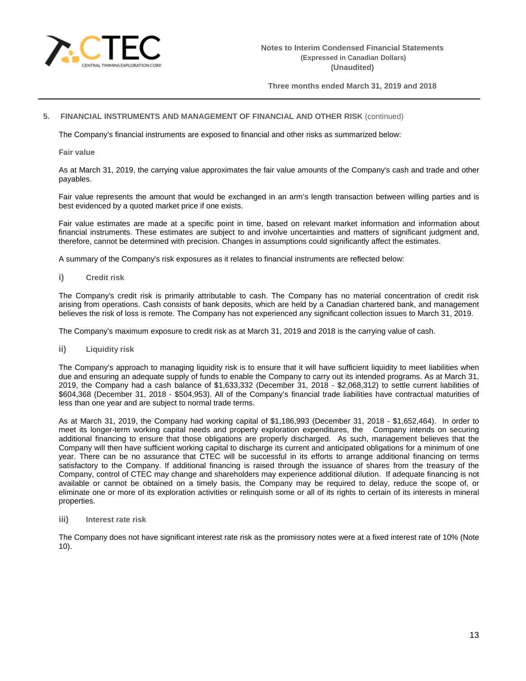

## **5. FINANCIAL INSTRUMENTS AND MANAGEMENT OF FINANCIAL AND OTHER RISK** (continued)

The Company's financial instruments are exposed to financial and other risks as summarized below:

**Fair value**

As at March 31, 2019, the carrying value approximates the fair value amounts of the Company's cash and trade and other payables.

Fair value represents the amount that would be exchanged in an arm's length transaction between willing parties and is best evidenced by a quoted market price if one exists.

Fair value estimates are made at a specific point in time, based on relevant market information and information about financial instruments. These estimates are subject to and involve uncertainties and matters of significant judgment and, therefore, cannot be determined with precision. Changes in assumptions could significantly affect the estimates.

A summary of the Company's risk exposures as it relates to financial instruments are reflected below:

**i) Credit risk**

The Company's credit risk is primarily attributable to cash. The Company has no material concentration of credit risk arising from operations. Cash consists of bank deposits, which are held by a Canadian chartered bank, and management believes the risk of loss is remote. The Company has not experienced any significant collection issues to March 31, 2019.

The Company's maximum exposure to credit risk as at March 31, 2019 and 2018 is the carrying value of cash.

**ii) Liquidity risk**

The Company's approach to managing liquidity risk is to ensure that it will have sufficient liquidity to meet liabilities when due and ensuring an adequate supply of funds to enable the Company to carry out its intended programs. As at March 31, 2019, the Company had a cash balance of \$1,633,332 (December 31, 2018 - \$2,068,312) to settle current liabilities of \$604,368 (December 31, 2018 - \$504,953). All of the Company's financial trade liabilities have contractual maturities of less than one year and are subject to normal trade terms.

As at March 31, 2019, the Company had working capital of \$1,186,993 (December 31, 2018 - \$1,652,464). In order to meet its longer-term working capital needs and property exploration expenditures, theCompany intends on securing additional financing to ensure that those obligations are properly discharged. As such, management believes that the Company will then have sufficient working capital to discharge its current and anticipated obligations for a minimum of one year. There can be no assurance that CTEC will be successful in its efforts to arrange additional financing on terms satisfactory to the Company. If additional financing is raised through the issuance of shares from the treasury of the Company, control of CTEC may change and shareholders may experience additional dilution. If adequate financing is not available or cannot be obtained on a timely basis, the Company may be required to delay, reduce the scope of, or eliminate one or more of its exploration activities or relinquish some or all of its rights to certain of its interests in mineral properties.

**iii) Interest rate risk**

The Company does not have significant interest rate risk as the promissory notes were at a fixed interest rate of 10% (Note 10).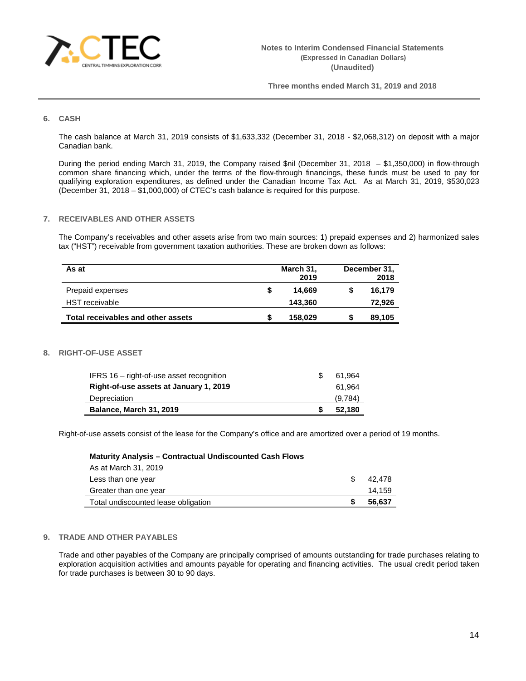

## **6. CASH**

The cash balance at March 31, 2019 consists of \$1,633,332 (December 31, 2018 - \$2,068,312) on deposit with a major Canadian bank.

During the period ending March 31, 2019, the Company raised \$nil (December 31, 2018 – \$1,350,000) in flow-through common share financing which, under the terms of the flow-through financings, these funds must be used to pay for qualifying exploration expenditures, as defined under the Canadian Income Tax Act. As at March 31, 2019, \$530,023 (December 31, 2018 – \$1,000,000) of CTEC's cash balance is required for this purpose.

### **7. RECEIVABLES AND OTHER ASSETS**

The Company's receivables and other assets arise from two main sources: 1) prepaid expenses and 2) harmonized sales tax ("HST") receivable from government taxation authorities. These are broken down as follows:

| As at                              |   | March 31, | December 31, |        |  |
|------------------------------------|---|-----------|--------------|--------|--|
|                                    |   | 2019      |              | 2018   |  |
| Prepaid expenses                   | S | 14.669    | S            | 16.179 |  |
| <b>HST</b> receivable              |   | 143.360   |              | 72,926 |  |
| Total receivables and other assets |   | 158,029   |              | 89,105 |  |

#### **8. RIGHT-OF-USE ASSET**

| IFRS 16 - right-of-use asset recognition | 61.964  |
|------------------------------------------|---------|
| Right-of-use assets at January 1, 2019   | 61.964  |
| Depreciation                             | (9,784) |
| <b>Balance, March 31, 2019</b>           | 52.180  |

Right-of-use assets consist of the lease for the Company's office and are amortized over a period of 19 months.

#### **Maturity Analysis – Contractual Undiscounted Cash Flows**

| Total undiscounted lease obligation | 56.637 |
|-------------------------------------|--------|
| Greater than one year               | 14,159 |
| Less than one year                  | 42.478 |
| As at March 31, 2019                |        |

## **9. TRADE AND OTHER PAYABLES**

Trade and other payables of the Company are principally comprised of amounts outstanding for trade purchases relating to exploration acquisition activities and amounts payable for operating and financing activities. The usual credit period taken for trade purchases is between 30 to 90 days.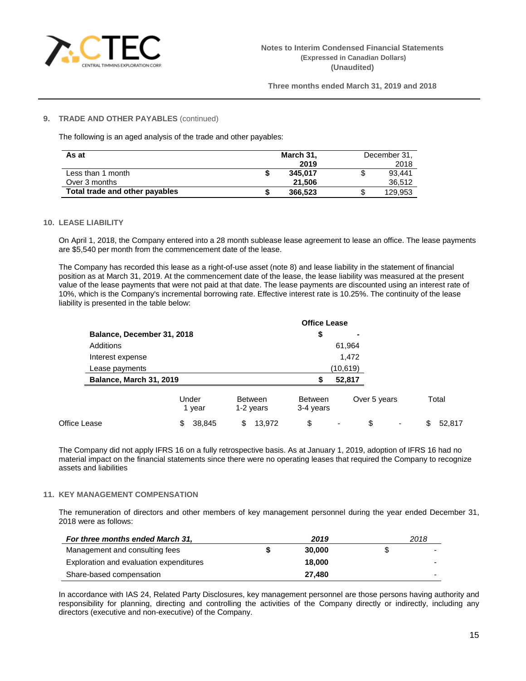

## **9. TRADE AND OTHER PAYABLES** (continued)

The following is an aged analysis of the trade and other payables:

| As at                          | March 31, |         | December 31, |
|--------------------------------|-----------|---------|--------------|
|                                |           | 2019    | 2018         |
| Less than 1 month              |           | 345.017 | 93.441       |
| Over 3 months                  |           | 21.506  | 36.512       |
| Total trade and other payables |           | 366,523 | 129.953      |

## **10. LEASE LIABILITY**

On April 1, 2018, the Company entered into a 28 month sublease lease agreement to lease an office. The lease payments are \$5,540 per month from the commencement date of the lease.

The Company has recorded this lease as a right-of-use asset (note 8) and lease liability in the statement of financial position as at March 31, 2019. At the commencement date of the lease, the lease liability was measured at the present value of the lease payments that were not paid at that date. The lease payments are discounted using an interest rate of 10%, which is the Company's incremental borrowing rate. Effective interest rate is 10.25%. The continuity of the lease liability is presented in the table below:

|                                |                 |                             | <b>Office Lease</b>         |              |              |
|--------------------------------|-----------------|-----------------------------|-----------------------------|--------------|--------------|
| Balance, December 31, 2018     |                 |                             | \$                          |              |              |
| <b>Additions</b>               |                 |                             |                             | 61,964       |              |
| Interest expense               |                 |                             |                             | 1,472        |              |
| Lease payments                 |                 |                             |                             | (10,619)     |              |
| <b>Balance, March 31, 2019</b> |                 |                             | S                           | 52,817       |              |
|                                | Under<br>1 year | <b>Between</b><br>1-2 years | <b>Between</b><br>3-4 years | Over 5 years | Total        |
| Office Lease                   | 38,845<br>\$    | \$<br>13.972                | \$                          | \$           | 52.817<br>\$ |

The Company did not apply IFRS 16 on a fully retrospective basis. As at January 1, 2019, adoption of IFRS 16 had no material impact on the financial statements since there were no operating leases that required the Company to recognize assets and liabilities

## **11. KEY MANAGEMENT COMPENSATION**

The remuneration of directors and other members of key management personnel during the year ended December 31, 2018 were as follows:

| For three months ended March 31,        | 2019   |   | 2018 |
|-----------------------------------------|--------|---|------|
| Management and consulting fees          | 30,000 | S | -    |
| Exploration and evaluation expenditures | 18,000 |   |      |
| Share-based compensation                | 27.480 |   | -    |

In accordance with IAS 24, Related Party Disclosures, key management personnel are those persons having authority and responsibility for planning, directing and controlling the activities of the Company directly or indirectly, including any directors (executive and non-executive) of the Company.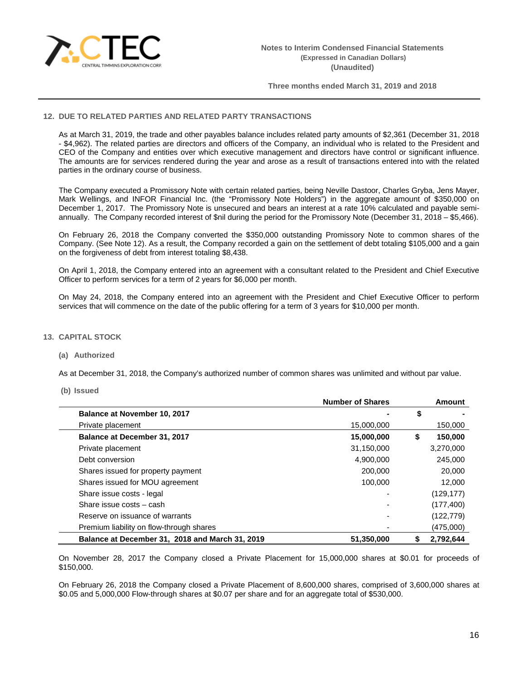

## **12. DUE TO RELATED PARTIES AND RELATED PARTY TRANSACTIONS**

As at March 31, 2019, the trade and other payables balance includes related party amounts of \$2,361 (December 31, 2018 - \$4,962). The related parties are directors and officers of the Company, an individual who is related to the President and CEO of the Company and entities over which executive management and directors have control or significant influence. The amounts are for services rendered during the year and arose as a result of transactions entered into with the related parties in the ordinary course of business.

The Company executed a Promissory Note with certain related parties, being Neville Dastoor, Charles Gryba, Jens Mayer, Mark Wellings, and INFOR Financial Inc. (the "Promissory Note Holders") in the aggregate amount of \$350,000 on December 1, 2017. The Promissory Note is unsecured and bears an interest at a rate 10% calculated and payable semiannually. The Company recorded interest of \$nil during the period for the Promissory Note (December 31, 2018 – \$5,466).

On February 26, 2018 the Company converted the \$350,000 outstanding Promissory Note to common shares of the Company. (See Note 12). As a result, the Company recorded a gain on the settlement of debt totaling \$105,000 and a gain on the forgiveness of debt from interest totaling \$8,438.

On April 1, 2018, the Company entered into an agreement with a consultant related to the President and Chief Executive Officer to perform services for a term of 2 years for \$6,000 per month.

On May 24, 2018, the Company entered into an agreement with the President and Chief Executive Officer to perform services that will commence on the date of the public offering for a term of 3 years for \$10,000 per month.

## **13. CAPITAL STOCK**

#### **(a) Authorized**

As at December 31, 2018, the Company's authorized number of common shares was unlimited and without par value.

#### **(b) Issued**

|                                                 | <b>Number of Shares</b> | <b>Amount</b> |
|-------------------------------------------------|-------------------------|---------------|
| Balance at November 10, 2017                    |                         | \$            |
| Private placement                               | 15,000,000              | 150,000       |
| Balance at December 31, 2017                    | 15,000,000              | \$<br>150,000 |
| Private placement                               | 31,150,000              | 3,270,000     |
| Debt conversion                                 | 4,900,000               | 245,000       |
| Shares issued for property payment              | 200,000                 | 20,000        |
| Shares issued for MOU agreement                 | 100.000                 | 12,000        |
| Share issue costs - legal                       |                         | (129, 177)    |
| Share issue costs - cash                        |                         | (177, 400)    |
| Reserve on issuance of warrants                 |                         | (122, 779)    |
| Premium liability on flow-through shares        |                         | (475,000)     |
| Balance at December 31, 2018 and March 31, 2019 | 51,350,000              | 2.792.644     |

On November 28, 2017 the Company closed a Private Placement for 15,000,000 shares at \$0.01 for proceeds of \$150,000.

On February 26, 2018 the Company closed a Private Placement of 8,600,000 shares, comprised of 3,600,000 shares at \$0.05 and 5,000,000 Flow-through shares at \$0.07 per share and for an aggregate total of \$530,000.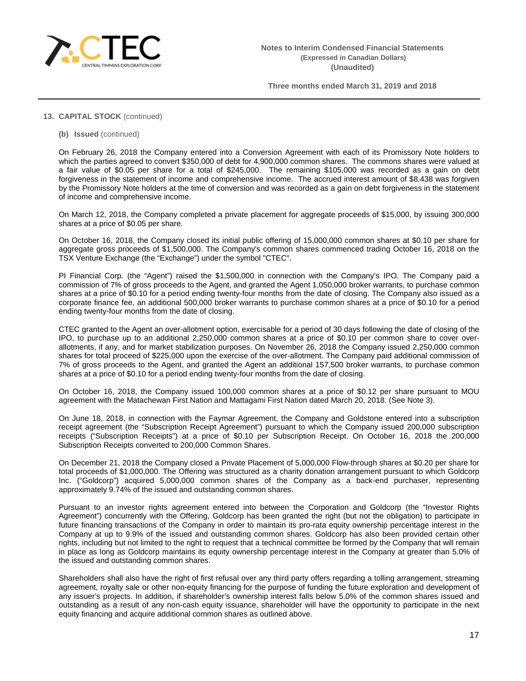

# **13. CAPITAL STOCK** (continued)

**(b) Issued** (continued)

On February 26, 2018 the Company entered into a Conversion Agreement with each of its Promissory Note holders to which the parties agreed to convert \$350,000 of debt for 4,900,000 common shares. The commons shares were valued at a fair value of \$0.05 per share for a total of \$245,000. The remaining \$105,000 was recorded as a gain on debt forgiveness in the statement of income and comprehensive income. The accrued interest amount of \$8,438 was forgiven by the Promissory Note holders at the time of conversion and was recorded as a gain on debt forgiveness in the statement of income and comprehensive income.

On March 12, 2018, the Company completed a private placement for aggregate proceeds of \$15,000, by issuing 300,000 shares at a price of \$0.05 per share.

On October 16, 2018, the Company closed its initial public offering of 15,000,000 common shares at \$0.10 per share for aggregate gross proceeds of \$1,500,000. The Company's common shares commenced trading October 16, 2018 on the TSX Venture Exchange (the "Exchange") under the symbol "CTEC".

PI Financial Corp. (the "Agent") raised the \$1,500,000 in connection with the Company's IPO. The Company paid a commission of 7% of gross proceeds to the Agent, and granted the Agent 1,050,000 broker warrants, to purchase common shares at a price of \$0.10 for a period ending twenty-four months from the date of closing. The Company also issued as a corporate finance fee, an additional 500,000 broker warrants to purchase common shares at a price of \$0.10 for a period ending twenty-four months from the date of closing.

CTEC granted to the Agent an over-allotment option, exercisable for a period of 30 days following the date of closing of the IPO, to purchase up to an additional 2,250,000 common shares at a price of \$0.10 per common share to cover overallotments, if any, and for market stabilization purposes. On November 26, 2018 the Company issued 2,250,000 common shares for total proceed of \$225,000 upon the exercise of the over-allotment. The Company paid additional commission of 7% of gross proceeds to the Agent, and granted the Agent an additional 157,500 broker warrants, to purchase common shares at a price of \$0.10 for a period ending twenty-four months from the date of closing.

On October 16, 2018, the Company issued 100,000 common shares at a price of \$0.12 per share pursuant to MOU agreement with the Matachewan First Nation and Mattagami First Nation dated March 20, 2018. (See Note 3).

On June 18, 2018, in connection with the Faymar Agreement, the Company and Goldstone entered into a subscription receipt agreement (the "Subscription Receipt Agreement") pursuant to which the Company issued 200,000 subscription receipts ("Subscription Receipts") at a price of \$0.10 per Subscription Receipt. On October 16, 2018 the 200,000 Subscription Receipts converted to 200,000 Common Shares.

On December 21, 2018 the Company closed a Private Placement of 5,000,000 Flow-through shares at \$0.20 per share for total proceeds of \$1,000,000. The Offering was structured as a charity donation arrangement pursuant to which Goldcorp Inc. ("Goldcorp") acquired 5,000,000 common shares of the Company as a back-end purchaser, representing approximately 9.74% of the issued and outstanding common shares.

Pursuant to an investor rights agreement entered into between the Corporation and Goldcorp (the "Investor Rights Agreement") concurrently with the Offering, Goldcorp has been granted the right (but not the obligation) to participate in future financing transactions of the Company in order to maintain its pro-rata equity ownership percentage interest in the Company at up to 9.9% of the issued and outstanding common shares. Goldcorp has also been provided certain other rights, including but not limited to the right to request that a technical committee be formed by the Company that will remain in place as long as Goldcorp maintains its equity ownership percentage interest in the Company at greater than 5.0% of the issued and outstanding common shares.

Shareholders shall also have the right of first refusal over any third party offers regarding a tolling arrangement, streaming agreement, royalty sale or other non-equity financing for the purpose of funding the future exploration and development of any issuer's projects. In addition, if shareholder's ownership interest falls below 5.0% of the common shares issued and outstanding as a result of any non-cash equity issuance, shareholder will have the opportunity to participate in the next equity financing and acquire additional common shares as outlined above.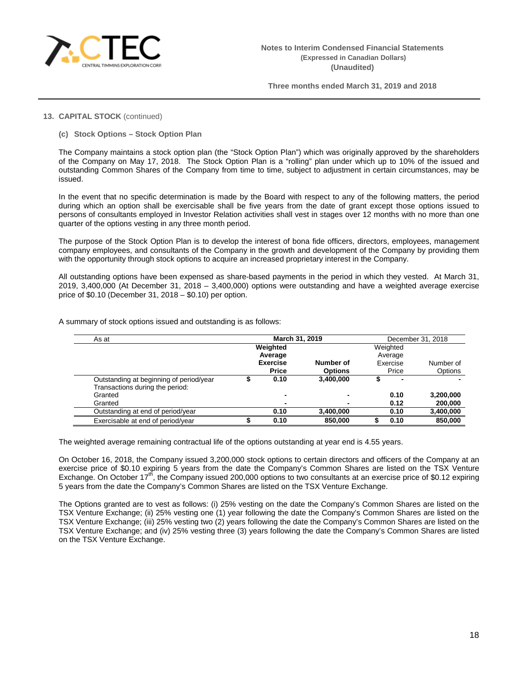

# **13. CAPITAL STOCK** (continued)

**(c) Stock Options – Stock Option Plan**

The Company maintains a stock option plan (the "Stock Option Plan") which was originally approved by the shareholders of the Company on May 17, 2018. The Stock Option Plan is a "rolling" plan under which up to 10% of the issued and outstanding Common Shares of the Company from time to time, subject to adjustment in certain circumstances, may be issued.

In the event that no specific determination is made by the Board with respect to any of the following matters, the period during which an option shall be exercisable shall be five years from the date of grant except those options issued to persons of consultants employed in Investor Relation activities shall vest in stages over 12 months with no more than one quarter of the options vesting in any three month period.

The purpose of the Stock Option Plan is to develop the interest of bona fide officers, directors, employees, management company employees, and consultants of the Company in the growth and development of the Company by providing them with the opportunity through stock options to acquire an increased proprietary interest in the Company.

All outstanding options have been expensed as share-based payments in the period in which they vested. At March 31, 2019, 3,400,000 (At December 31, 2018 – 3,400,000) options were outstanding and have a weighted average exercise price of \$0.10 (December 31, 2018 – \$0.10) per option.

| As at                                   | March 31, 2019 |                 |                |  | December 31, 2018 |           |
|-----------------------------------------|----------------|-----------------|----------------|--|-------------------|-----------|
|                                         |                | Weighted        |                |  | Weighted          |           |
|                                         |                | Average         |                |  | Average           |           |
|                                         |                | <b>Exercise</b> | Number of      |  | Exercise          | Number of |
|                                         |                | <b>Price</b>    | <b>Options</b> |  | Price             | Options   |
| Outstanding at beginning of period/year |                | 0.10            | 3.400.000      |  | ۰                 |           |
| Transactions during the period:         |                |                 |                |  |                   |           |
| Granted                                 |                | -               |                |  | 0.10              | 3,200,000 |
| Granted                                 |                | ٠               |                |  | 0.12              | 200,000   |
| Outstanding at end of period/year       |                | 0.10            | 3,400,000      |  | 0.10              | 3,400,000 |
| Exercisable at end of period/year       |                | 0.10            | 850,000        |  | 0.10              | 850.000   |

A summary of stock options issued and outstanding is as follows:

The weighted average remaining contractual life of the options outstanding at year end is 4.55 years.

On October 16, 2018, the Company issued 3,200,000 stock options to certain directors and officers of the Company at an exercise price of \$0.10 expiring 5 years from the date the Company's Common Shares are listed on the TSX Venture Exchange. On October 17<sup>th</sup>, the Company issued 200,000 options to two consultants at an exercise price of \$0.12 expiring 5 years from the date the Company's Common Shares are listed on the TSX Venture Exchange.

The Options granted are to vest as follows: (i) 25% vesting on the date the Company's Common Shares are listed on the TSX Venture Exchange; (ii) 25% vesting one (1) year following the date the Company's Common Shares are listed on the TSX Venture Exchange; (iii) 25% vesting two (2) years following the date the Company's Common Shares are listed on the TSX Venture Exchange; and (iv) 25% vesting three (3) years following the date the Company's Common Shares are listed on the TSX Venture Exchange.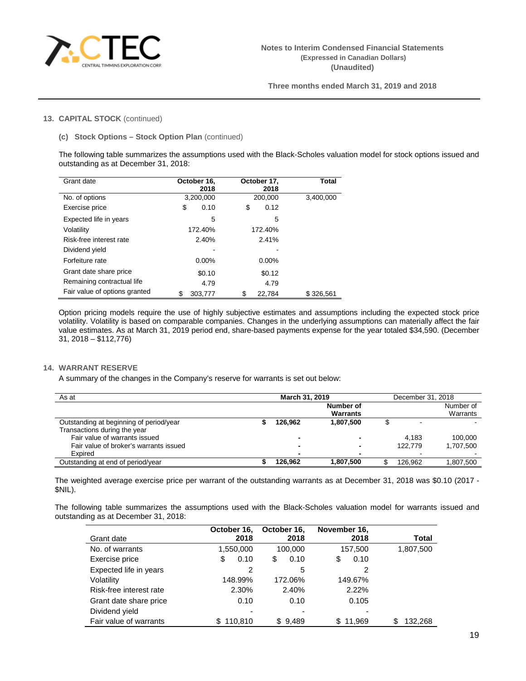

## **13. CAPITAL STOCK** (continued)

**(c) Stock Options – Stock Option Plan** (continued)

The following table summarizes the assumptions used with the Black-Scholes valuation model for stock options issued and outstanding as at December 31, 2018:

| Grant date                    | October 16,<br>2018 | October 17,<br>2018 | Total     |
|-------------------------------|---------------------|---------------------|-----------|
| No. of options                | 3,200,000           | 200,000             | 3,400,000 |
| Exercise price                | \$<br>0.10          | \$<br>0.12          |           |
| Expected life in years        | 5                   | 5                   |           |
| Volatility                    | 172.40%             | 172.40%             |           |
| Risk-free interest rate       | 2.40%               | 2.41%               |           |
| Dividend yield                |                     |                     |           |
| Forfeiture rate               | $0.00\%$            | $0.00\%$            |           |
| Grant date share price        | \$0.10              | \$0.12              |           |
| Remaining contractual life    | 4.79                | 4.79                |           |
| Fair value of options granted | S<br>303,777        | 22,784              | \$326,561 |

Option pricing models require the use of highly subjective estimates and assumptions including the expected stock price volatility. Volatility is based on comparable companies. Changes in the underlying assumptions can materially affect the fair value estimates. As at March 31, 2019 period end, share-based payments expense for the year totaled \$34,590. (December 31, 2018 – \$112,776)

## **14. WARRANT RESERVE**

A summary of the changes in the Company's reserve for warrants is set out below:

| As at                                   | March 31, 2019 |         |           | December 31, 2018 |           |
|-----------------------------------------|----------------|---------|-----------|-------------------|-----------|
|                                         |                |         | Number of |                   | Number of |
|                                         |                |         | Warrants  |                   | Warrants  |
| Outstanding at beginning of period/year |                | 126.962 | 1.807.500 |                   |           |
| Transactions during the year            |                |         |           |                   |           |
| Fair value of warrants issued           |                |         | -         | 4.183             | 100.000   |
| Fair value of broker's warrants issued  |                |         | -         | 122.779           | 1.707.500 |
| Expired                                 |                |         | ۰         |                   |           |
| Outstanding at end of period/year       |                | 126.962 | 1,807,500 | 126.962           | 1,807,500 |

The weighted average exercise price per warrant of the outstanding warrants as at December 31, 2018 was \$0.10 (2017 - \$NIL).

The following table summarizes the assumptions used with the Black-Scholes valuation model for warrants issued and outstanding as at December 31, 2018:

|                         | October 16,   | October 16, | November 16, |               |
|-------------------------|---------------|-------------|--------------|---------------|
| Grant date              | 2018          | 2018        | 2018         | Total         |
| No. of warrants         | 1,550,000     | 100,000     | 157,500      | 1,807,500     |
| Exercise price          | 0.10<br>\$    | \$<br>0.10  | 0.10<br>\$   |               |
| Expected life in years  | 2             | 5           | 2            |               |
| Volatility              | 148.99%       | 172.06%     | 149.67%      |               |
| Risk-free interest rate | 2.30%         | 2.40%       | 2.22%        |               |
| Grant date share price  | 0.10          | 0.10        | 0.105        |               |
| Dividend yield          |               | ٠           |              |               |
| Fair value of warrants  | \$<br>110.810 | \$9.489     | 11.969<br>S. | \$<br>132.268 |